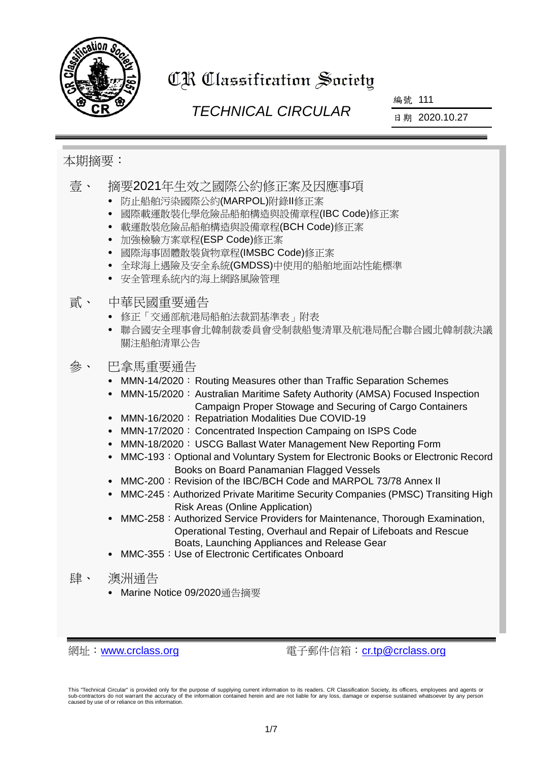

# CR Classification Society

## *TECHNICAL CIRCULAR*

編號 111

日期 2020.10.27

### 本期摘要:

壹、 摘要2021年生效之國際公約修正案及因應事項

- 防止船舶污染國際公約(MARPOL)附錄II修正案
- 國際載運散裝化學危險品船舶構造與設備章程(IBC Code)修正案
- 載運散裝危險品船舶構造與設備章程(BCH Code)修正案
- 加強檢驗方案章程(ESP Code)修正案
- 國際海事固體散裝貨物章程(IMSBC Code)修正案
- 全球海上遇險及安全系統(GMDSS)中使用的船舶地面站性能標準
- 安全管理系統內的海上網路風險管理
- 貳、 中華民國重要通告
	- 修正「交通部航港局船舶法裁罰基準表」附表
	- 聯合國安全理事會北韓制裁委員會受制裁船隻清單及航港局配合聯合國北韓制裁決議 關注船舶清單公告
- 參、 巴拿馬重要通告
	- MMN-14/2020: Routing Measures other than Traffic Separation Schemes
	- MMN-15/2020: Australian Maritime Safety Authority (AMSA) Focused Inspection Campaign Proper Stowage and Securing of Cargo Containers
	- MMN-16/2020: Repatriation Modalities Due COVID-19
	- MMN-17/2020: Concentrated Inspection Campaing on ISPS Code
	- MMN-18/2020: USCG Ballast Water Management New Reporting Form
	- MMC-193: Optional and Voluntary System for Electronic Books or Electronic Record Books on Board Panamanian Flagged Vessels
	- MMC-200: Revision of the IBC/BCH Code and MARPOL 73/78 Annex II
	- MMC-245: Authorized Private Maritime Security Companies (PMSC) Transiting High Risk Areas (Online Application)
	- MMC-258: Authorized Service Providers for Maintenance, Thorough Examination, Operational Testing, Overhaul and Repair of Lifeboats and Rescue Boats, Launching Appliances and Release Gear
	- MMC-355:Use of Electronic Certificates Onboard
- 肆、 澳洲通告
	- Marine Notice 09/2020通告摘要

網址: [www.crclass.org](http://www.crclass.org/) 雷子郵件信箱: [cr.tp@crclass.org](mailto:cr.tp@crclass.org)

This "Technical Circular" is provided only for the purpose of supplying current information to its readers. CR Classification Society, its officers, employees and agents or sub-contractors do not warrant the accuracy of the information contained herein and are not liable for any loss, damage or expense sustained whatsoever by any person caused by use of or reliance on this information.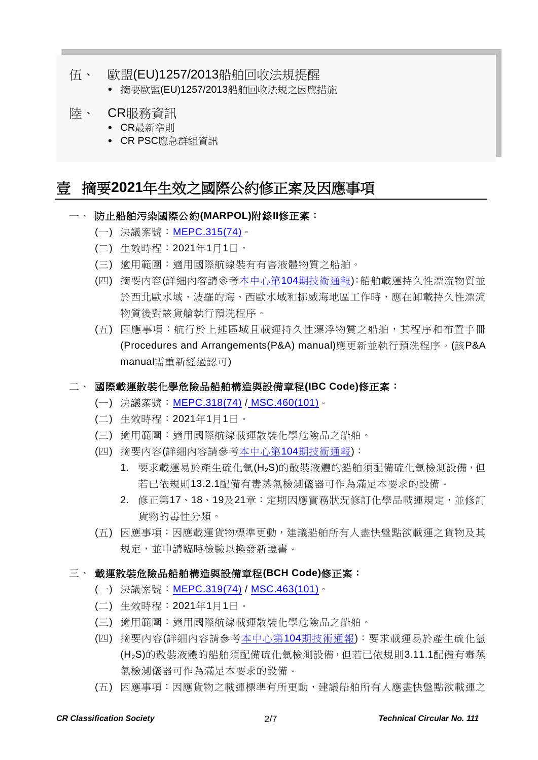#### 伍、 歐盟(EU)1257/2013船舶回收法規提醒

摘要歐盟(EU)1257/2013船舶回收法規之因應措施

#### 陸、 CR服務資訊

- CR最新準則
- CR PSC應急群組資訊

## 壹 摘要**2021**年生效之國際公約修正案及因應事項

- 一、 防止船舶污染國際公約**(MARPOL)**附錄**II**修正案:
	- (一) 決議案號: [MEPC.315\(74\)](https://www.crclass.org/chinese/download/ti-tc/104/1-4%20MEPC.315(74).pdf)。
	- (二) 生效時程:2021年1月1日。
	- (三) 適用範圍:適用國際航線裝有有害液體物質之船舶。
	- (四) 摘要內容(詳細內容請參考本中心第104[期技術通報](https://www.crclass.org/chinese/download/ti-tc/104/104.pdf)):船舶載運持久性漂流物質並 於西北歐水域、波羅的海、西歐水域和挪威海地區工作時,應在卸載持久性漂流 物質後對該貨艙執行預洗程序。
	- (五) 因應事項:航行於上述區域且載運持久性漂浮物質之船舶,其程序和布置手冊 (Procedures and Arrangements(P&A) manual)應更新並執行預洗程序。(該P&A manual需重新經過認可)

#### 二、 國際載運散裝化學危險品船舶構造與設備章程**(IBC Code)**修正案:

- (一) 決議案號:[MEPC.318\(74\)](https://www.crclass.org/chinese/download/ti-tc/104/1-7%20MEPC.318(74).pdf) / [MSC.460\(101\)](https://www.crclass.org/chinese/download/ti-tc/105/1-5%20MSC.460(101).pdf)。
- (二) 生效時程:2021年1月1日。
- (三) 適用範圍:適用國際航線載運散裝化學危險品之船舶。
- (四) 摘要內容(詳細內容請參考本中心第104[期技術通報](https://www.crclass.org/chinese/download/ti-tc/104/104.pdf)):
	- 1. 要求載運易於產生硫化氫(H2S)的散裝液體的船舶須配備硫化氫檢測設備,但 若已依規則13.2.1配備有毒蒸氣檢測儀器可作為滿足本要求的設備。
	- 2. 修正第17、18、19及21章:定期因應實務狀況修訂化學品載運規定,並修訂 貨物的毒性分類。
- (五) 因應事項:因應載運貨物標準更動,建議船舶所有人盡快盤點欲載運之貨物及其 規定,並申請臨時檢驗以換發新證書。

#### 三、 載運散裝危險品船舶構造與設備章程**(BCH Code)**修正案:

- (一) 決議案號:[MEPC.319\(74\)](https://www.crclass.org/chinese/download/ti-tc/104/1-8%20MEPC.319(74).pdf) / [MSC.463\(101\)](https://www.crclass.org/chinese/download/ti-tc/105/1-9%20MSC.463(101).pdf)。
- (二) 生效時程:2021年1月1日。
- (三) 適用範圍:適用國際航線載運散裝化學危險品之船舶。
- (四) 摘要內容(詳細內容請參考本中心第104[期技術通報](https://www.crclass.org/chinese/download/ti-tc/104/104.pdf)):要求載運易於產生硫化氫 (H2S)的散裝液體的船舶須配備硫化氫檢測設備,但若已依規則3.11.1配備有毒蒸 氣檢測儀器可作為滿足本要求的設備。
- (五) 因應事項:因應貨物之載運標準有所更動,建議船舶所有人應盡快盤點欲載運之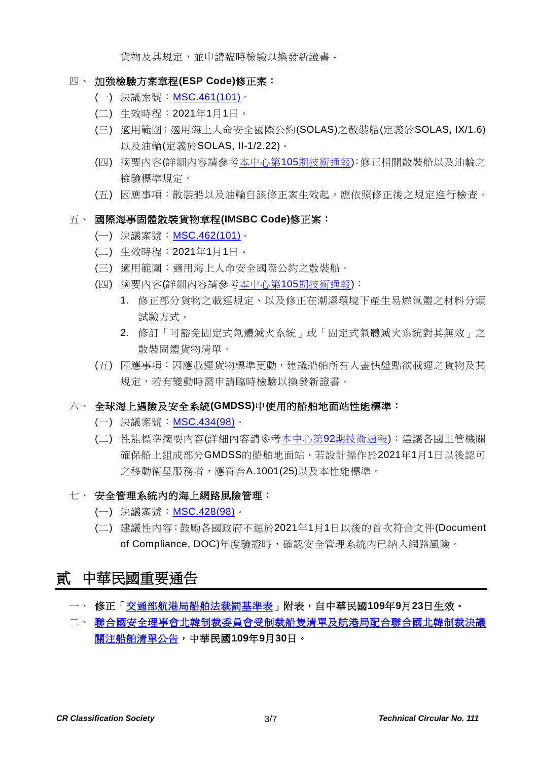貨物及其規定,並申請臨時檢驗以換發新證書。

#### 四、 加強檢驗方案章程**(ESP Code)**修正案:

- (一) 決議案號: [MSC.461\(101\)](https://www.crclass.org/chinese/download/ti-tc/105/1-6%20MSC.461(101).pdf)。
- (二) 生效時程:2021年1月1日。
- (三) 適用範圍:適用海上人命安全國際公約(SOLAS)之散裝船(定義於SOLAS, IX/1.6) 以及油輪(定義於SOLAS, II-1/2.22)。
- (四) 摘要內容(詳細內容請參考本中心第105[期技術通報](https://www.crclass.org/chinese/download/ti-tc/105/105.pdf)):修正相關散裝船以及油輪之 檢驗標準規定。
- (五) 因應事項:散裝船以及油輪自該修正案生效起,應依照修正後之規定進行檢查。
- 五、 國際海事固體散裝貨物章程**(IMSBC Code)**修正案:
	- (一) 決議案號:[MSC.462\(101\)](https://www.crclass.org/chinese/download/ti-tc/105/1-7%20MSC.462(101).pdf)。
	- (二) 生效時程:2021年1月1日。
	- (三) 適用範圍:適用海上人命安全國際公約之散裝船。
	- (四) 摘要內容(詳細內容請參考本中心第105[期技術通報](https://www.crclass.org/chinese/download/ti-tc/105/105.pdf)):
		- 1. 修正部分貨物之載運規定、以及修正在潮濕環境下產生易燃氣體之材料分類 試驗方式。
		- 2. 修訂「可豁免固定式氣體滅火系統」或「固定式氣體滅火系統對其無效」之 散裝固體貨物清單。
	- (五) 因應事項:因應載運貨物標準更動,建議船舶所有人盡快盤點欲載運之貨物及其 規定,若有變動時需申請臨時檢驗以換發新證書。
- 六、 全球海上遇險及安全系統**(GMDSS)**中使用的船舶地面站性能標準:
	- (一) 決議案號:[MSC.434\(98\)](https://www.crclass.org/chinese/download/ti-tc/92/1-18MSC.434(98).pdf)。
	- (二) 性能標準摘要內容(詳細內容請參考本中心第92[期技術通報](https://www.crclass.org/chinese/download/ti-tc/92/92.pdf)):建議各國主管機關 確保船上組成部分GMDSS的船舶地面站,若設計操作於2021年1月1日以後認可 之移動衛星服務者,應符合A.1001(25)以及本性能標準。
- 七、 安全管理系統內的海上網路風險管理:
	- (一) 決議案號:[MSC.428\(98\)](https://www.crclass.org/chinese/download/ti-tc/92/1-12%20MSC.428(98).pdf)。
	- (二) 建議性內容:鼓勵各國政府不遲於2021年1月1日以後的首次符合文件(Document of Compliance, DOC)年度驗證時,確認安全管理系統內已納入網路風險。

## 貳 中華民國重要通告

- 一、 修正[「交通部航港局船舶法裁罰基準表」](https://gazette.nat.gov.tw/egFront/detail.do?metaid=118628&log=detailLog)附表,自中華民國**109**年**9**月**23**日生效。
- 二、 [聯合國安全理事會北韓制裁委員會受制裁船隻清單及航港局配合聯合國北韓制裁決議](https://www.motcmpb.gov.tw/Information/Detail/cfc09406-61f5-4462-a7ee-4bb3de2fdab0?SiteId=1&NodeId=103) [關注船舶清單公告,](https://www.motcmpb.gov.tw/Information/Detail/cfc09406-61f5-4462-a7ee-4bb3de2fdab0?SiteId=1&NodeId=103)中華民國**109**年**9**月**30**日。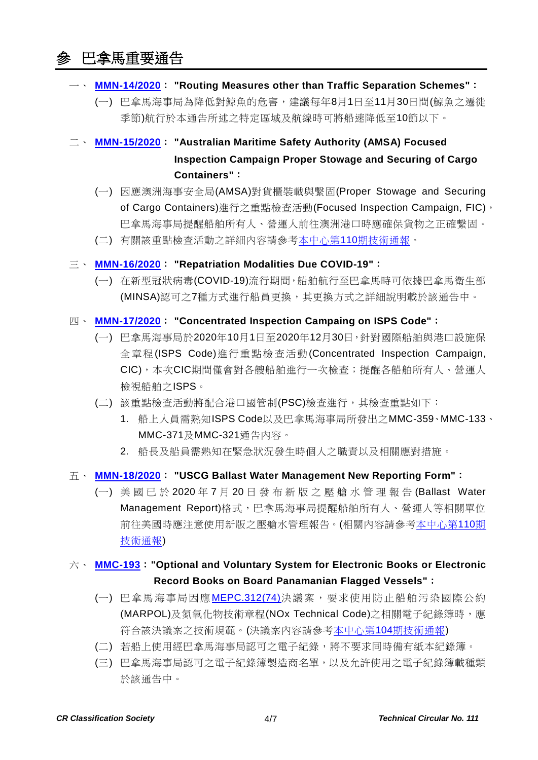## 參 巴拿馬重要通告

- 一、 **[MMN-14/2020](https://www.crclass.org/chinese/download/ti-tc/111/3-1%20MMN-14%202020-NUEVA-DGPIMA-and-DCCM-Rev.-5-12-08-2020-FINAL-1.pdf)**: **"Routing Measures other than Traffic Separation Schemes"**:
	- (一) 巴拿馬海事局為降低對鯨魚的危害,建議每年8月1日至11月30日間(鯨魚之遷徙 季節)航行於本通告所述之特定區域及航線時可將船速降低至10節以下。
- 二、 **[MMN-15/2020](https://www.crclass.org/chinese/download/ti-tc/111/3-2%20MMN-15-2020-Nueva-AMSA-FIC-Navegacion-12-08-2020-FINAL.pdf)**: **"Australian Maritime Safety Authority (AMSA) Focused Inspection Campaign Proper Stowage and Securing of Cargo Containers"**:
	- (一) 因應澳洲海事安全局(AMSA)對貨櫃裝載與繫固(Proper Stowage and Securing of Cargo Containers)進行之重點檢查活動(Focused Inspection Campaign, FIC), 巴拿馬海事局提醒船舶所有人、營運人前往澳洲港口時應確保貨物之正確繫固。
	- (二) 有關該重點檢查活動之詳細內容請參考本中心第110[期技術通報。](https://www.crclass.org/chinese/download/ti-tc/110/110.pdf)

#### 三、 **[MMN-16/2020](https://www.crclass.org/chinese/download/ti-tc/111/3-3%202020-REPATRATION-MODALITIES-04-09-2020.pdf)**: **"Repatriation Modalities Due COVID-19"**:

(一) 在新型冠狀病毒(COVID-19)流行期間,船舶航行至巴拿馬時可依據巴拿馬衛生部 (MINSA)認可之7種方式進行船員更換,其更換方式之詳細說明載於該通告中。

#### 四、 **[MMN-17/2020](https://www.crclass.org/chinese/download/ti-tc/111/3-4%20MMN-CIC-ISPS-.MN17.pdf)**: **"Concentrated Inspection Campaing on ISPS Code"**:

- (一) 巴拿馬海事局於2020年10月1日至2020年12月30日,針對國際船舶與港口設施保 全章程(ISPS Code)進行重點檢查活動(Concentrated Inspection Campaign, CIC),本次CIC期間僅會對各艘船舶進行一次檢查;提醒各船舶所有人、營運人 檢視船舶之ISPS。
- (二) 該重點檢查活動將配合港口國管制(PSC)檢查進行,其檢查重點如下:
	- 1. 船上人員需熟知ISPS Code以及巴拿馬海事局所發出之MMC-359、MMC-133、 MMC-371及MMC-321通告內容。
	- 2. 船長及船員需熟知在緊急狀況發生時個人之職責以及相關應對措施。
- 五、 **[MMN-18/2020](https://www.crclass.org/chinese/download/ti-tc/111/3-5%20MMN-18-2020-USCG-BWMR.pdf)**: **"USCG Ballast Water Management New Reporting Form"**:
	- (一) 美國已於 2020 年 7 月 20 日發布新版之壓艙水管理報告 (Ballast Water Management Report)格式,巴拿馬海事局提醒船舶所有人、營運人等相關單位 前往美國時應注意使用新版之壓艙水管理報告。(相關內容請參[考本中心第](https://www.crclass.org/chinese/download/ti-tc/110/110.pdf)110期 [技術通報](https://www.crclass.org/chinese/download/ti-tc/110/110.pdf))

#### 六、 **[MMC-193](https://www.crclass.org/chinese/download/ti-tc/111/3-6%20MMC-193-SEPT-2020-FINAL.pdf)**:**"Optional and Voluntary System for Electronic Books or Electronic Record Books on Board Panamanian Flagged Vessels"**:

- (一) 巴拿馬海事局因應[MEPC.312\(74\)](https://www.crclass.org/chinese/download/ti-tc/104/1-1%20MEPC.312(74).pdf)決議案,要求使用防止船舶污染國際公約 (MARPOL)及氮氧化物技術章程(NOx Technical Code)之相關電子紀錄簿時,應 符合該決議案之技術規範。(決議案內容請參考本中心第104[期技術通報](https://www.crclass.org/chinese/download/ti-tc/104/104.pdf))
- (二) 若船上使用經巴拿馬海事局認可之電子紀錄,將不要求同時備有紙本紀錄簿。
- (三) 巴拿馬海事局認可之電子紀錄簿製造商名單,以及允許使用之電子紀錄簿載種類 於該通告中。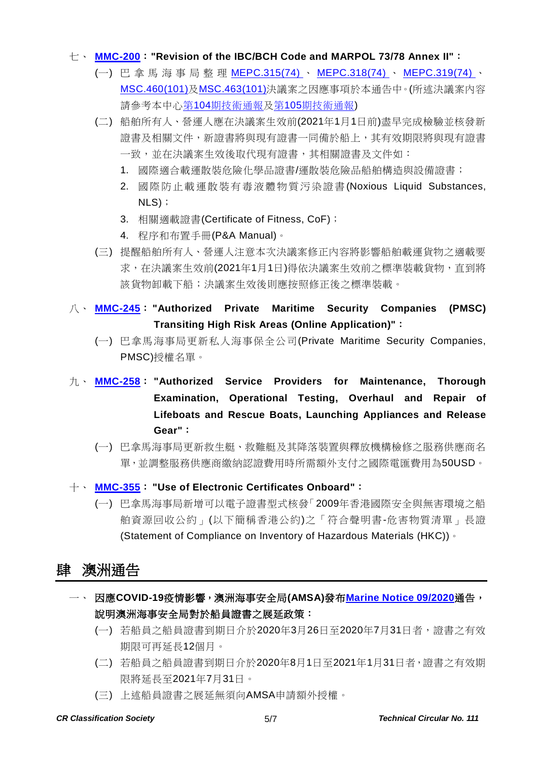#### 七、 **[MMC-200](https://www.crclass.org/chinese/download/ti-tc/111/3-7%20MMC-200-SEPT-REV-MR.pdf)**:**"Revision of the IBC/BCH Code and MARPOL 73/78 Annex II"**:

- (一) 巴拿馬海事局 整 理 [MEPC.315\(74\)](https://www.crclass.org/chinese/download/ti-tc/104/1-4%20MEPC.315(74).pdf) 、 [MEPC.318\(74\)](https://www.crclass.org/chinese/download/ti-tc/104/1-7%20MEPC.318(74).pdf) 、 [MEPC.319\(74\)](https://www.crclass.org/chinese/download/ti-tc/104/1-8%20MEPC.319(74).pdf) 、 [MSC.460\(101\)](https://www.crclass.org/chinese/download/ti-tc/105/1-5%20MSC.460(101).pdf)及[MSC.463\(101\)](https://www.crclass.org/chinese/download/ti-tc/105/1-9%20MSC.463(101).pdf)決議案之因應事項於本通告中。(所述決議案內容 請參考本中心第104[期技術通報及](https://www.crclass.org/chinese/download/ti-tc/104/104.pdf)第105[期技術通報](https://www.crclass.org/chinese/download/ti-tc/105/105.pdf))
- (二) 船舶所有人、營運人應在決議案生效前(2021年1月1日前)盡早完成檢驗並核發新 證書及相關文件,新證書將與現有證書一同備於船上,其有效期限將與現有證書 一致,並在決議案生效後取代現有證書,其相關證書及文件如:
	- 1. 國際適合載運散裝危險化學品證書/運散裝危險品船舶構造與設備證書;
	- 2. 國際防止載運散裝有毒液體物質污染證書 (Noxious Liquid Substances, NLS);
	- 3. 相關適載證書(Certificate of Fitness, CoF);
	- 4. 程序和布置手冊(P&A Manual)。
- (三) 提醒船舶所有人、營運人注意本次決議案修正內容將影響船舶載運貨物之適載要 求,在決議案生效前(2021年1月1日)得依決議案生效前之標準裝載貨物,直到將 該貨物卸載下船;決議案生效後則應按照修正後之標準裝載。
- 八、 **[MMC-245](https://www.crclass.org/chinese/download/ti-tc/111/3-8%20MMC-245.pdf)**: **"Authorized Private Maritime Security Companies (PMSC) Transiting High Risk Areas (Online Application)"**:
	- (一) 巴拿馬海事局更新私人海事保全公司(Private Maritime Security Companies, PMSC)授權名單。
- 九、 **[MMC-258](https://www.crclass.org/chinese/download/ti-tc/111/3-9%20MMC-258-V-03-Oct-2020.pdf)**: **"Authorized Service Providers for Maintenance, Thorough Examination, Operational Testing, Overhaul and Repair of Lifeboats and Rescue Boats, Launching Appliances and Release Gear"**:
	- (一) 巴拿馬海事局更新救生艇、救難艇及其降落裝置與釋放機構檢修之服務供應商名 單,並調整服務供應商繳納認證費用時所需額外支付之國際電匯費用為50USD。
- 十、 **[MMC-355](https://www.crclass.org/chinese/download/ti-tc/111/3-10%20MMC-355-29-09-2020.pdf)**: **"Use of Electronic Certificates Onboard"**:
	- (一) 巴拿馬海事局新增可以電子證書型式核發「2009年香港國際安全與無害環境之船 舶資源回收公約」(以下簡稱香港公約)之「符合聲明書-危害物質清單」長證 (Statement of Compliance on Inventory of Hazardous Materials (HKC))。

## 肆 澳洲通告

- 一、 因應**COVID-19**疫情影響,澳洲海事安全局**(AMSA)**發布**[Marine Notice 09/2020](https://www.crclass.org/chinese/download/ti-tc/111/4-1%20marine-notice-9-2020-seafarer-certificates-.pdf)**通告, 說明澳洲海事安全局對於船員證書之展延政策:
	- (一) 若船員之船員證書到期日介於2020年3月26日至2020年7月31日者,證書之有效 期限可再延長12個月。
	- (二) 若船員之船員證書到期日介於2020年8月1日至2021年1月31日者,證書之有效期 限將延長至2021年7月31日。
	- (三) 上述船員證書之展延無須向AMSA申請額外授權。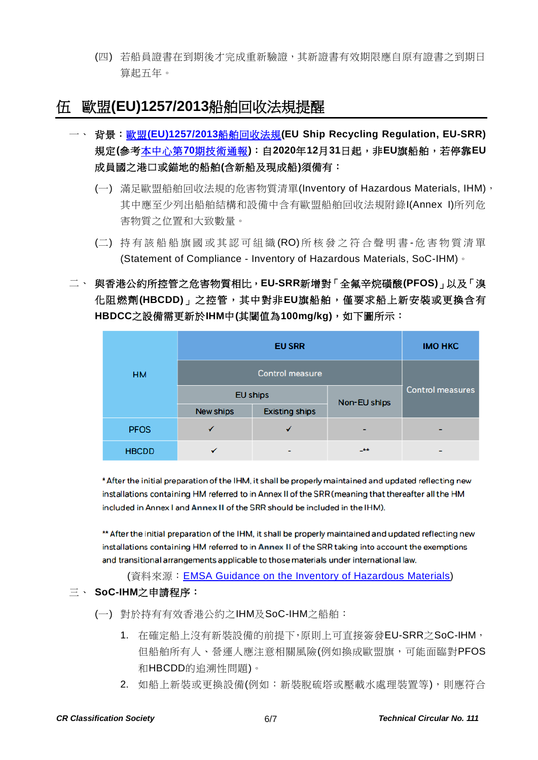(四) 若船員證書在到期後才完成重新驗證,其新證書有效期限應自原有證書之到期日 算起五年。

## 伍 歐盟**(EU)1257/2013**船舶回收法規提醒

- 一、 背景:歐盟**[\(EU\)1257/2013](https://www.crclass.org/chinese/download/ti-tc/70/1-1%20Official%20Journal_20131210-Ship%20Recycling.pdf)**船舶回收法規**(EU Ship Recycling Regulation, EU-SRR)** 規定**(**參考本中心第**70**[期技術通報](https://www.crclass.org/chinese/download/ti-tc/70/70.pdf)**)**:自**2020**年**12**月**31**日起,非**EU**旗船舶,若停靠**EU** 成員國之港口或錨地的船舶**(**含新船及現成船**)**須備有:
	- (一) 滿足歐盟船舶回收法規的危害物質清單(Inventory of Hazardous Materials, IHM), 其中應至少列出船舶結構和設備中含有歐盟船舶回收法規附錄I(Annex I)所列危 害物質之位置和大致數量。
	- (二) 持有該船船旗國或其 認 可組織 (RO) 所核發之 符合聲明書 危害物質清單 (Statement of Compliance - Inventory of Hazardous Materials, SoC-IHM)。
- 二、 與香港公約所控管之危害物質相比,**EU-SRR**新增對「全氟辛烷磺酸**(PFOS)**」以及「溴 化阻燃劑**(HBCDD)**」之控管,其中對非**EU**旗船舶,僅要求船上新安裝或更換含有 **HBDCC**之設備需更新於**IHM**中**(**其閾值為**100mg/kg)**,如下圖所示:

| <b>HM</b>    | <b>EU SRR</b>          |                       |              | <b>IMO HKC</b>          |
|--------------|------------------------|-----------------------|--------------|-------------------------|
|              | <b>Control measure</b> |                       |              |                         |
|              | <b>EU ships</b>        |                       | Non-EU ships | <b>Control measures</b> |
|              | New ships              | <b>Existing ships</b> |              |                         |
| <b>PFOS</b>  |                        |                       | -            |                         |
| <b>HBCDD</b> |                        | -                     | $+ +$        |                         |

\* After the initial preparation of the IHM, it shall be properly maintained and updated reflecting new installations containing HM referred to in Annex II of the SRR (meaning that thereafter all the HM included in Annex I and Annex II of the SRR should be included in the IHM).

\*\* After the initial preparation of the IHM, it shall be properly maintained and updated reflecting new installations containing HM referred to in Annex II of the SRR taking into account the exemptions and transitional arrangements applicable to those materials under international law.

(資料來源: **[EMSA Guidance on the Inventory of Hazardous Materials\)](http://www.emsa.europa.eu/emsa-documents/latest/download/4683/3003/23.html)** 

#### 三、 **SoC-IHM**之申請程序:

(一) 對於持有有效香港公約之IHM及SoC-IHM之船舶:

- 1. 在確定船上沒有新裝設備的前提下,原則上可直接簽發EU-SRR之SoC-IHM, 但船舶所有人、營運人應注意相關風險(例如換成歐盟旗,可能面臨對PFOS 和HBCDD的追溯性問題)。
- 2. 如船上新裝或更換設備(例如:新裝脫硫塔或壓載水處理裝置等),則應符合